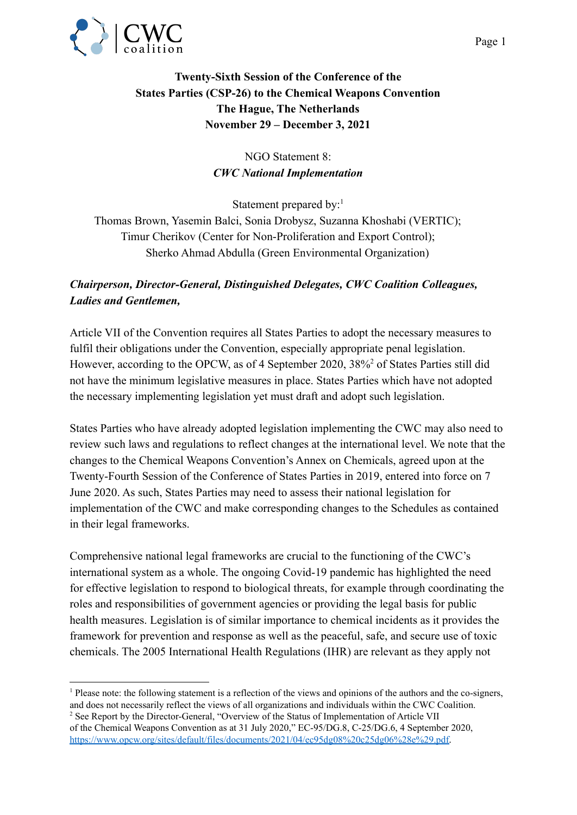

## **Twenty-Sixth Session of the Conference of the States Parties (CSP-26) to the Chemical Weapons Convention The Hague, The Netherlands November 29 – December 3, 2021**

## NGO Statement 8: *CWC National Implementation*

Statement prepared by:<sup>1</sup> Thomas Brown, Yasemin Balci, Sonia Drobysz, Suzanna Khoshabi (VERTIC); Timur Cherikov (Center for Non-Proliferation and Export Control); Sherko Ahmad Abdulla (Green Environmental Organization)

## *Chairperson, Director-General, Distinguished Delegates, CWC Coalition Colleagues, Ladies and Gentlemen,*

Article VII of the Convention requires all States Parties to adopt the necessary measures to fulfil their obligations under the Convention, especially appropriate penal legislation. However, according to the OPCW, as of 4 September 2020, 38%<sup>2</sup> of States Parties still did not have the minimum legislative measures in place. States Parties which have not adopted the necessary implementing legislation yet must draft and adopt such legislation.

States Parties who have already adopted legislation implementing the CWC may also need to review such laws and regulations to reflect changes at the international level. We note that the changes to the Chemical Weapons Convention's Annex on Chemicals, agreed upon at the Twenty-Fourth Session of the Conference of States Parties in 2019, entered into force on 7 June 2020. As such, States Parties may need to assess their national legislation for implementation of the CWC and make corresponding changes to the Schedules as contained in their legal frameworks.

Comprehensive national legal frameworks are crucial to the functioning of the CWC's international system as a whole. The ongoing Covid-19 pandemic has highlighted the need for effective legislation to respond to biological threats, for example through coordinating the roles and responsibilities of government agencies or providing the legal basis for public health measures. Legislation is of similar importance to chemical incidents as it provides the framework for prevention and response as well as the peaceful, safe, and secure use of toxic chemicals. The 2005 International Health Regulations (IHR) are relevant as they apply not

<sup>&</sup>lt;sup>1</sup> Please note: the following statement is a reflection of the views and opinions of the authors and the co-signers, and does not necessarily reflect the views of all organizations and individuals within the CWC Coalition.

<sup>&</sup>lt;sup>2</sup> See Report by the Director-General, "Overview of the Status of Implementation of Article VII of the Chemical Weapons Convention as at 31 July 2020," EC-95/DG.8, C-25/DG.6, 4 September 2020, <https://www.opcw.org/sites/default/files/documents/2021/04/ec95dg08%20c25dg06%28e%29.pdf>.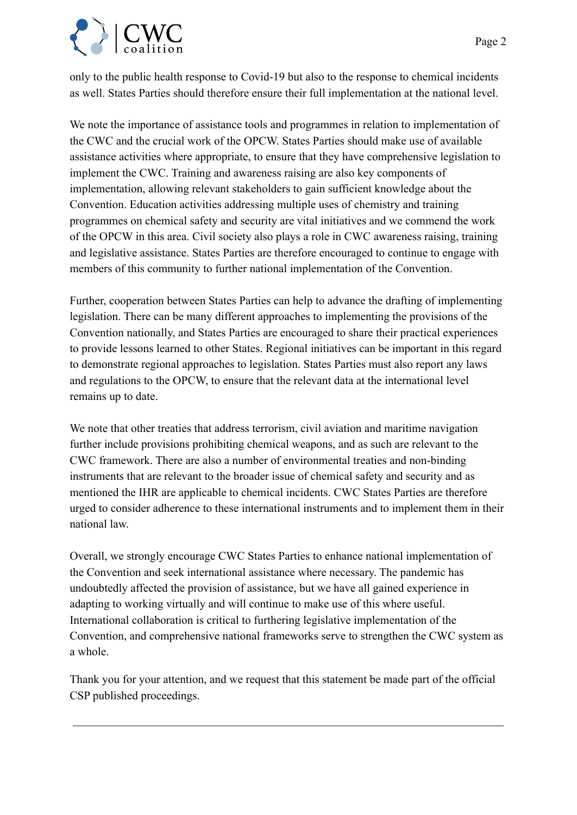

only to the public health response to Covid-19 but also to the response to chemical incidents as well. States Parties should therefore ensure their full implementation at the national level.

We note the importance of assistance tools and programmes in relation to implementation of the CWC and the crucial work of the OPCW. States Parties should make use of available assistance activities where appropriate, to ensure that they have comprehensive legislation to implement the CWC. Training and awareness raising are also key components of implementation, allowing relevant stakeholders to gain sufficient knowledge about the Convention. Education activities addressing multiple uses of chemistry and training programmes on chemical safety and security are vital initiatives and we commend the work of the OPCW in this area. Civil society also plays a role in CWC awareness raising, training and legislative assistance. States Parties are therefore encouraged to continue to engage with members of this community to further national implementation of the Convention.

Further, cooperation between States Parties can help to advance the drafting of implementing legislation. There can be many different approaches to implementing the provisions of the Convention nationally, and States Parties are encouraged to share their practical experiences to provide lessons learned to other States. Regional initiatives can be important in this regard to demonstrate regional approaches to legislation. States Parties must also report any laws and regulations to the OPCW, to ensure that the relevant data at the international level remains up to date.

We note that other treaties that address terrorism, civil aviation and maritime navigation further include provisions prohibiting chemical weapons, and as such are relevant to the CWC framework. There are also a number of environmental treaties and non-binding instruments that are relevant to the broader issue of chemical safety and security and as mentioned the IHR are applicable to chemical incidents. CWC States Parties are therefore urged to consider adherence to these international instruments and to implement them in their national law.

Overall, we strongly encourage CWC States Parties to enhance national implementation of the Convention and seek international assistance where necessary. The pandemic has undoubtedly affected the provision of assistance, but we have all gained experience in adapting to working virtually and will continue to make use of this where useful. International collaboration is critical to furthering legislative implementation of the Convention, and comprehensive national frameworks serve to strengthen the CWC system as a whole.

Thank you for your attention, and we request that this statement be made part of the official CSP published proceedings.